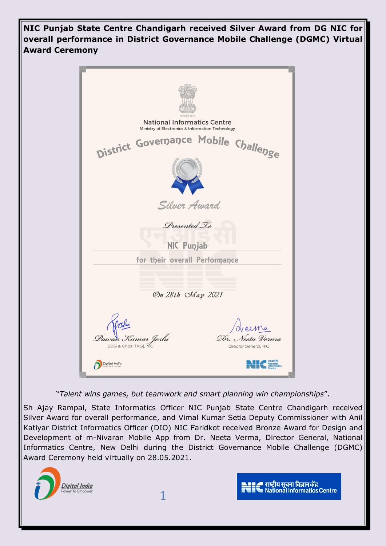**NIC Punjab State Centre Chandigarh received Silver Award from DG NIC for overall performance in District Governance Mobile Challenge (DGMC) Virtual Award Ceremony**



"*Talent wins games, but teamwork and smart planning win championships*".

Sh Ajay Rampal, State Informatics Officer NIC Punjab State Centre Chandigarh received Silver Award for overall performance, and Vimal Kumar Setia Deputy Commissioner with Anil Katiyar District Informatics Officer (DIO) NIC Faridkot received Bronze Award for Design and Development of m-Nivaran Mobile App from Dr. Neeta Verma, Director General, National Informatics Centre, New Delhi during the District Governance Mobile Challenge (DGMC) Award Ceremony held virtually on 28.05.2021.

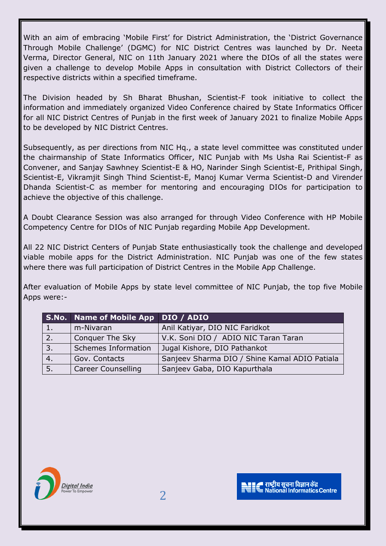With an aim of embracing 'Mobile First' for District Administration, the 'District Governance Through Mobile Challenge' (DGMC) for NIC District Centres was launched by Dr. Neeta Verma, Director General, NIC on 11th January 2021 where the DIOs of all the states were given a challenge to develop Mobile Apps in consultation with District Collectors of their respective districts within a specified timeframe.

The Division headed by Sh Bharat Bhushan, Scientist-F took initiative to collect the information and immediately organized Video Conference chaired by State Informatics Officer for all NIC District Centres of Punjab in the first week of January 2021 to finalize Mobile Apps to be developed by NIC District Centres.

Subsequently, as per directions from NIC Hq., a state level committee was constituted under the chairmanship of State Informatics Officer, NIC Punjab with Ms Usha Rai Scientist-F as Convener, and Sanjay Sawhney Scientist-E & HO, Narinder Singh Scientist-E, Prithipal Singh, Scientist-E, Vikramjit Singh Thind Scientist-E, Manoj Kumar Verma Scientist-D and Virender Dhanda Scientist-C as member for mentoring and encouraging DIOs for participation to achieve the objective of this challenge.

A Doubt Clearance Session was also arranged for through Video Conference with HP Mobile Competency Centre for DIOs of NIC Punjab regarding Mobile App Development.

All 22 NIC District Centers of Punjab State enthusiastically took the challenge and developed viable mobile apps for the District Administration. NIC Punjab was one of the few states where there was full participation of District Centres in the Mobile App Challenge.

After evaluation of Mobile Apps by state level committee of NIC Punjab, the top five Mobile Apps were:-

|              | S.No. Name of Mobile App DIO / ADIO |                                               |
|--------------|-------------------------------------|-----------------------------------------------|
| $\vert$ 1.   | m-Nivaran                           | Anil Katiyar, DIO NIC Faridkot                |
| $\sqrt{2.7}$ | <b>Conquer The Sky</b>              | V.K. Soni DIO / ADIO NIC Taran Taran          |
| 3.           | <b>Schemes Information</b>          | Jugal Kishore, DIO Pathankot                  |
| 4.           | Gov. Contacts                       | Sanjeev Sharma DIO / Shine Kamal ADIO Patiala |
| 5.           | <b>Career Counselling</b>           | Sanjeev Gaba, DIO Kapurthala                  |